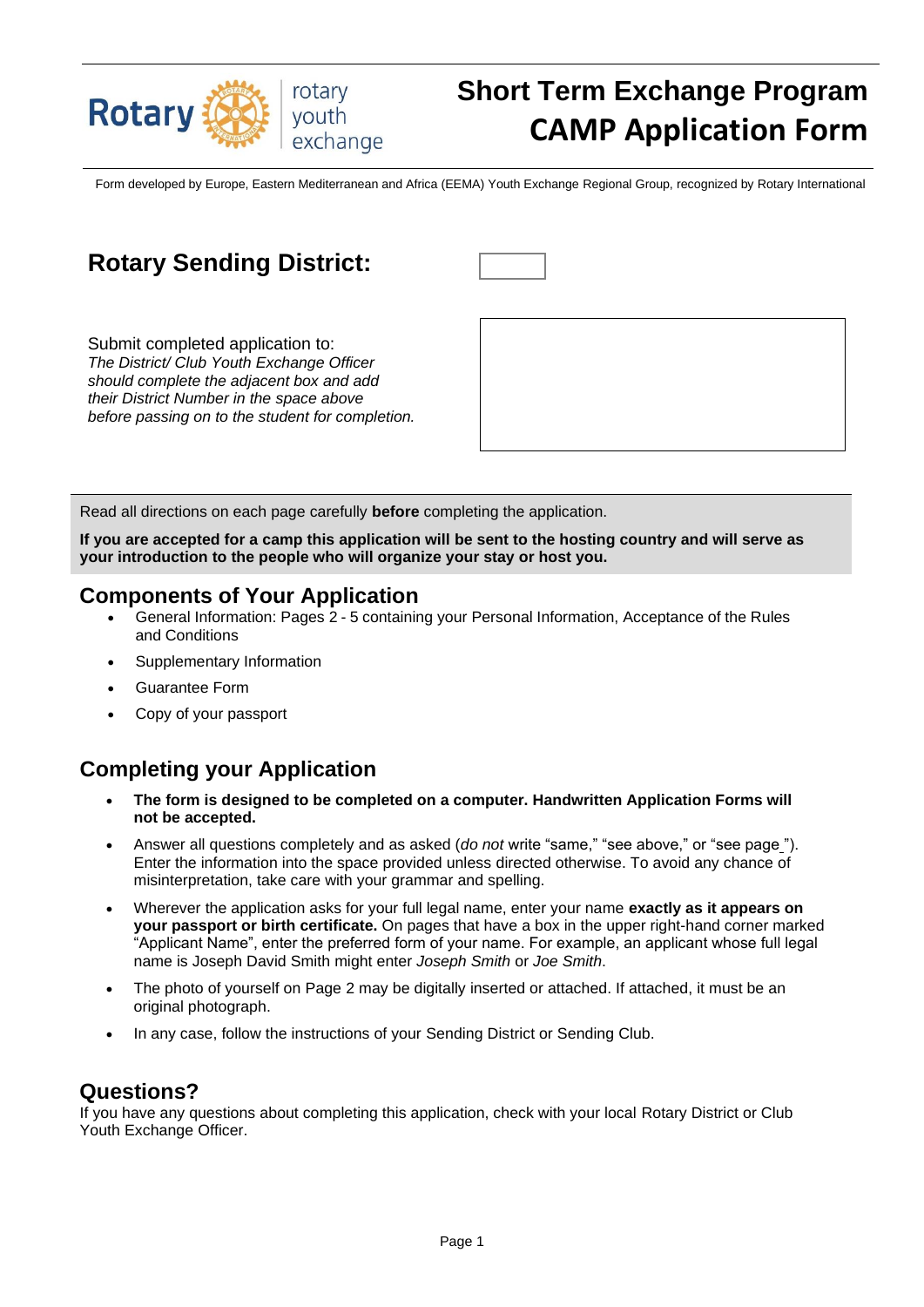

# **Short Term Exchange Program CAMP Application Form**

Form developed by Europe, Eastern Mediterranean and Africa (EEMA) Youth Exchange Regional Group, recognized by Rotary International

|  | <b>Rotary Sending District:</b> |  |
|--|---------------------------------|--|
|--|---------------------------------|--|

Submit completed application to: *The District/ Club Youth Exchange Officer should complete the adjacent box and add their District Number in the space above before passing on to the student for completion.*



Read all directions on each page carefully **before** completing the application.

**If you are accepted for a camp this application will be sent to the hosting country and will serve as your introduction to the people who will organize your stay or host you.**

### **Components of Your Application**

- General Information: Pages 2 5 containing your Personal Information, Acceptance of the Rules and Conditions
- Supplementary Information
- Guarantee Form
- Copy of your passport

## **Completing your Application**

- **The form is designed to be completed on a computer. Handwritten Application Forms will not be accepted.**
- Answer all questions completely and as asked (*do not* write "same," "see above," or "see page "). Enter the information into the space provided unless directed otherwise. To avoid any chance of misinterpretation, take care with your grammar and spelling.
- Wherever the application asks for your full legal name, enter your name **exactly as it appears on your passport or birth certificate.** On pages that have a box in the upper right-hand corner marked "Applicant Name", enter the preferred form of your name. For example, an applicant whose full legal name is Joseph David Smith might enter *Joseph Smith* or *Joe Smith*.
- The photo of yourself on Page 2 may be digitally inserted or attached. If attached, it must be an original photograph.
- In any case, follow the instructions of your Sending District or Sending Club.

### **Questions?**

If you have any questions about completing this application, check with your local Rotary District or Club Youth Exchange Officer.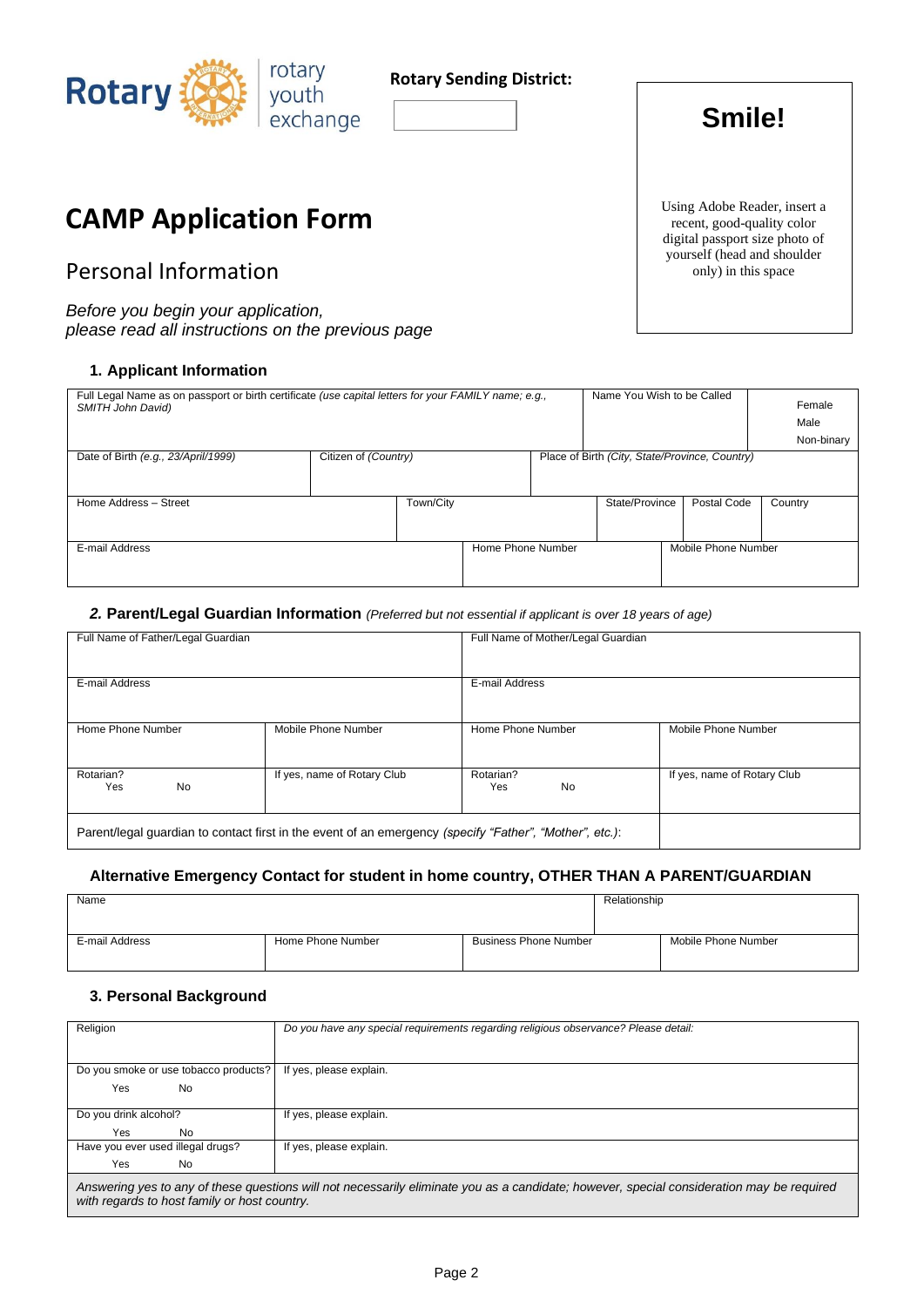

### **Rotary Sending District:**

# **Smile!**

## **CAMP Application Form**

## Personal Information

*Before you begin your application, please read all instructions on the previous page*

#### **1. Applicant Information**

| Full Legal Name as on passport or birth certificate (use capital letters for your FAMILY name; e.g.,<br>SMITH John David) |                      |                   | Name You Wish to be Called                     |                     | Female<br>Male<br>Non-binary |
|---------------------------------------------------------------------------------------------------------------------------|----------------------|-------------------|------------------------------------------------|---------------------|------------------------------|
| Date of Birth (e.g., 23/April/1999)                                                                                       | Citizen of (Country) |                   | Place of Birth (City, State/Province, Country) |                     |                              |
|                                                                                                                           |                      |                   |                                                |                     |                              |
| Home Address - Street                                                                                                     | Town/City            |                   | State/Province                                 | Postal Code         | Country                      |
|                                                                                                                           |                      |                   |                                                |                     |                              |
| E-mail Address                                                                                                            |                      | Home Phone Number |                                                | Mobile Phone Number |                              |
|                                                                                                                           |                      |                   |                                                |                     |                              |
|                                                                                                                           |                      |                   |                                                |                     |                              |

#### *2.* **Parent/Legal Guardian Information** *(Preferred but not essential if applicant is over 18 years of age)*

| Full Name of Father/Legal Guardian |                                                                                                         | Full Name of Mother/Legal Guardian |                             |
|------------------------------------|---------------------------------------------------------------------------------------------------------|------------------------------------|-----------------------------|
| E-mail Address                     |                                                                                                         | E-mail Address                     |                             |
| Home Phone Number                  | Mobile Phone Number                                                                                     | Home Phone Number                  | Mobile Phone Number         |
| Rotarian?<br>No<br>Yes             | If yes, name of Rotary Club                                                                             | Rotarian?<br>Yes<br><b>No</b>      | If yes, name of Rotary Club |
|                                    | Parent/legal guardian to contact first in the event of an emergency (specify "Father", "Mother", etc.): |                                    |                             |

#### **Alternative Emergency Contact for student in home country, OTHER THAN A PARENT/GUARDIAN**

| Name           |                   |                              | Relationship |                     |
|----------------|-------------------|------------------------------|--------------|---------------------|
| E-mail Address | Home Phone Number | <b>Business Phone Number</b> |              | Mobile Phone Number |

#### **3. Personal Background**

| Religion                              | Do you have any special requirements regarding religious observance? Please detail:                                                       |
|---------------------------------------|-------------------------------------------------------------------------------------------------------------------------------------------|
|                                       |                                                                                                                                           |
|                                       |                                                                                                                                           |
|                                       |                                                                                                                                           |
| Do you smoke or use tobacco products? | If yes, please explain.                                                                                                                   |
|                                       |                                                                                                                                           |
| Yes<br><b>No</b>                      |                                                                                                                                           |
|                                       |                                                                                                                                           |
|                                       |                                                                                                                                           |
| Do you drink alcohol?                 | If yes, please explain.                                                                                                                   |
| Yes<br>No                             |                                                                                                                                           |
|                                       |                                                                                                                                           |
| Have you ever used illegal drugs?     | If yes, please explain.                                                                                                                   |
| <b>No</b><br>Yes                      |                                                                                                                                           |
|                                       |                                                                                                                                           |
|                                       |                                                                                                                                           |
|                                       | Answering yes to any of these questions will not necessarily eliminate you as a candidate; however, special consideration may be required |
|                                       | with regards to host family or host country.                                                                                              |

Using Adobe Reader, insert a recent, good-quality color digital passport size photo of yourself (head and shoulder only) in this space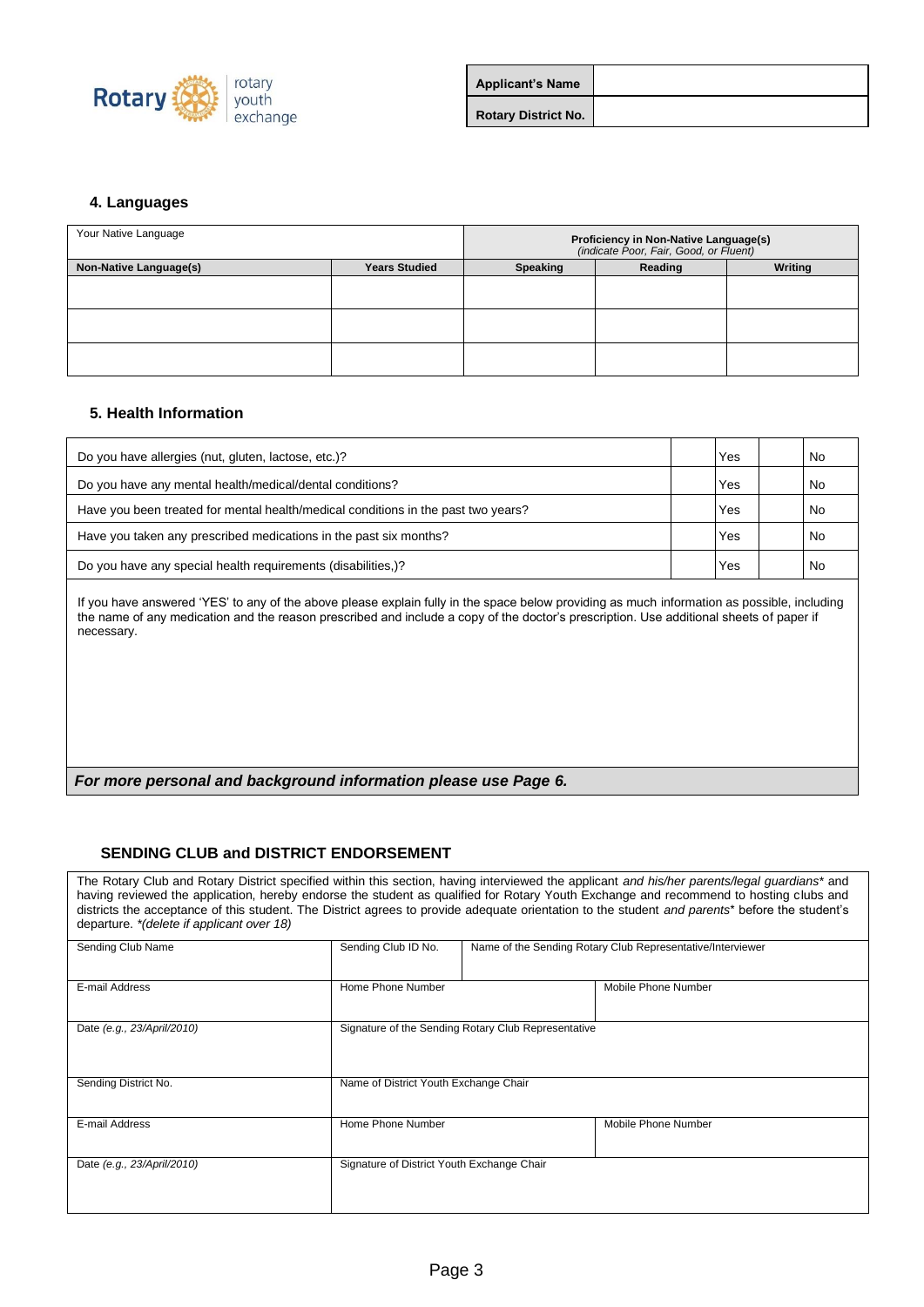

| <b>Applicant's Name</b>    |  |
|----------------------------|--|
| <b>Rotary District No.</b> |  |

#### **4. Languages**

| Your Native Language   |                      | Proficiency in Non-Native Language(s)<br>(indicate Poor, Fair, Good, or Fluent) |  |  |
|------------------------|----------------------|---------------------------------------------------------------------------------|--|--|
| Non-Native Language(s) | <b>Years Studied</b> | Writing<br><b>Speaking</b><br>Reading                                           |  |  |
|                        |                      |                                                                                 |  |  |
|                        |                      |                                                                                 |  |  |
|                        |                      |                                                                                 |  |  |

#### **5. Health Information**

| Do you have allergies (nut, gluten, lactose, etc.)?                               | Yes | No  |
|-----------------------------------------------------------------------------------|-----|-----|
| Do you have any mental health/medical/dental conditions?                          | Yes | No  |
| Have you been treated for mental health/medical conditions in the past two years? | Yes | No. |
| Have you taken any prescribed medications in the past six months?                 | Yes | No. |
| Do you have any special health requirements (disabilities,)?                      | Yes | No. |
|                                                                                   |     |     |

If you have answered 'YES' to any of the above please explain fully in the space below providing as much information as possible, including the name of any medication and the reason prescribed and include a copy of the doctor's prescription. Use additional sheets of paper if necessary.

#### *For more personal and background information please use Page 6.*

#### **SENDING CLUB and DISTRICT ENDORSEMENT**

| departure. * (delete if applicant over 18) |                                            |                                                            | The Rotary Club and Rotary District specified within this section, having interviewed the applicant and his/her parents/legal guardians* and<br>having reviewed the application, hereby endorse the student as qualified for Rotary Youth Exchange and recommend to hosting clubs and<br>districts the acceptance of this student. The District agrees to provide adequate orientation to the student and parents* before the student's |  |
|--------------------------------------------|--------------------------------------------|------------------------------------------------------------|-----------------------------------------------------------------------------------------------------------------------------------------------------------------------------------------------------------------------------------------------------------------------------------------------------------------------------------------------------------------------------------------------------------------------------------------|--|
| Sending Club Name                          | Sending Club ID No.                        | Name of the Sending Rotary Club Representative/Interviewer |                                                                                                                                                                                                                                                                                                                                                                                                                                         |  |
| E-mail Address                             | Home Phone Number                          |                                                            | Mobile Phone Number                                                                                                                                                                                                                                                                                                                                                                                                                     |  |
| Date (e.g., 23/April/2010)                 |                                            | Signature of the Sending Rotary Club Representative        |                                                                                                                                                                                                                                                                                                                                                                                                                                         |  |
| Sending District No.                       | Name of District Youth Exchange Chair      |                                                            |                                                                                                                                                                                                                                                                                                                                                                                                                                         |  |
| E-mail Address                             | Home Phone Number                          |                                                            | Mobile Phone Number                                                                                                                                                                                                                                                                                                                                                                                                                     |  |
| Date (e.g., 23/April/2010)                 | Signature of District Youth Exchange Chair |                                                            |                                                                                                                                                                                                                                                                                                                                                                                                                                         |  |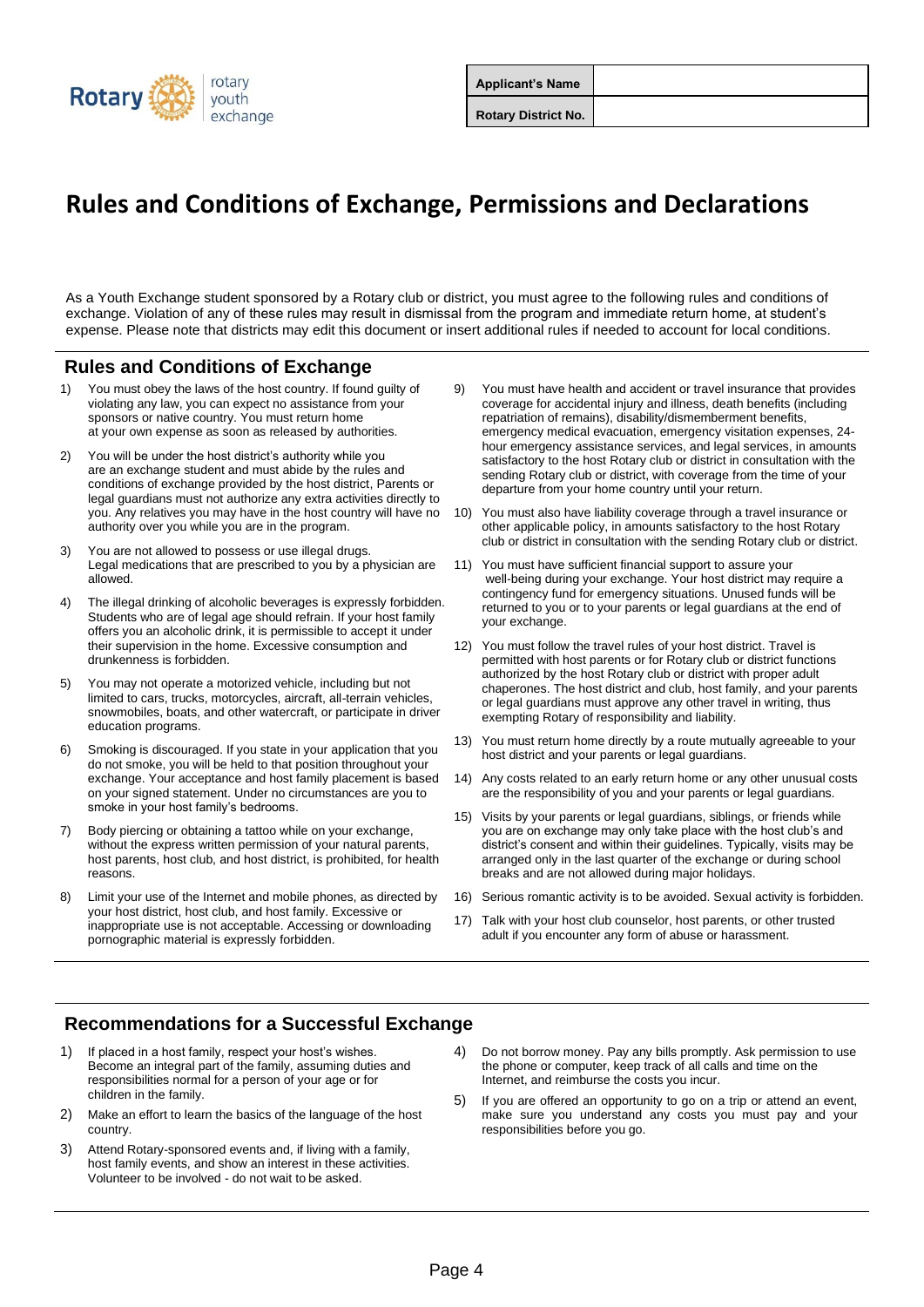

| <b>Applicant's Name</b>    |  |
|----------------------------|--|
| <b>Rotary District No.</b> |  |

## **Rules and Conditions of Exchange, Permissions and Declarations**

As a Youth Exchange student sponsored by a Rotary club or district, you must agree to the following rules and conditions of exchange. Violation of any of these rules may result in dismissal from the program and immediate return home, at student's expense. Please note that districts may edit this document or insert additional rules if needed to account for local conditions.

### **Rules and Conditions of Exchange**

- 1) You must obey the laws of the host country. If found guilty of violating any law, you can expect no assistance from your sponsors or native country. You must return home at your own expense as soon as released by authorities.
- 2) You will be under the host district's authority while you are an exchange student and must abide by the rules and conditions of exchange provided by the host district, Parents or legal guardians must not authorize any extra activities directly to you. Any relatives you may have in the host country will have no authority over you while you are in the program.
- 3) You are not allowed to possess or use illegal drugs. Legal medications that are prescribed to you by a physician are allowed.
- 4) The illegal drinking of alcoholic beverages is expressly forbidden. Students who are of legal age should refrain. If your host family offers you an alcoholic drink, it is permissible to accept it under their supervision in the home. Excessive consumption and drunkenness is forbidden.
- 5) You may not operate a motorized vehicle, including but not limited to cars, trucks, motorcycles, aircraft, all-terrain vehicles, snowmobiles, boats, and other watercraft, or participate in driver education programs.
- 6) Smoking is discouraged. If you state in your application that you do not smoke, you will be held to that position throughout your exchange. Your acceptance and host family placement is based on your signed statement. Under no circumstances are you to smoke in your host family's bedrooms.
- Body piercing or obtaining a tattoo while on your exchange, without the express written permission of your natural parents host parents, host club, and host district, is prohibited, for health reasons.
- 8) Limit your use of the Internet and mobile phones, as directed by your host district, host club, and host family. Excessive or inappropriate use is not acceptable. Accessing or downloading pornographic material is expressly forbidden.
- 9) You must have health and accident or travel insurance that provides coverage for accidental injury and illness, death benefits (including repatriation of remains), disability/dismemberment benefits, emergency medical evacuation, emergency visitation expenses, 24 hour emergency assistance services, and legal services, in amounts satisfactory to the host Rotary club or district in consultation with the sending Rotary club or district, with coverage from the time of your departure from your home country until your return.
- 10) You must also have liability coverage through a travel insurance or other applicable policy, in amounts satisfactory to the host Rotary club or district in consultation with the sending Rotary club or district.
- 11) You must have sufficient financial support to assure your well-being during your exchange. Your host district may require a contingency fund for emergency situations. Unused funds will be returned to you or to your parents or legal guardians at the end of your exchange.
- 12) You must follow the travel rules of your host district. Travel is permitted with host parents or for Rotary club or district functions authorized by the host Rotary club or district with proper adult chaperones. The host district and club, host family, and your parents or legal guardians must approve any other travel in writing, thus exempting Rotary of responsibility and liability.
- 13) You must return home directly by a route mutually agreeable to your host district and your parents or legal guardians.
- 14) Any costs related to an early return home or any other unusual costs are the responsibility of you and your parents or legal guardians.
- 15) Visits by your parents or legal guardians, siblings, or friends while you are on exchange may only take place with the host club's and district's consent and within their guidelines. Typically, visits may be arranged only in the last quarter of the exchange or during school breaks and are not allowed during major holidays.
- 16) Serious romantic activity is to be avoided. Sexual activity is forbidden.
- 17) Talk with your host club counselor, host parents, or other trusted adult if you encounter any form of abuse or harassment.

### **Recommendations for a Successful Exchange**

- 1) If placed in a host family, respect your host's wishes. Become an integral part of the family, assuming duties and responsibilities normal for a person of your age or for children in the family.
- 2) Make an effort to learn the basics of the language of the host country.
- 3) Attend Rotary-sponsored events and, if living with a family, host family events, and show an interest in these activities. Volunteer to be involved - do not wait to be asked.
- 4) Do not borrow money. Pay any bills promptly. Ask permission to use the phone or computer, keep track of all calls and time on the Internet, and reimburse the costs you incur.
- If you are offered an opportunity to go on a trip or attend an event, make sure you understand any costs you must pay and your responsibilities before you go.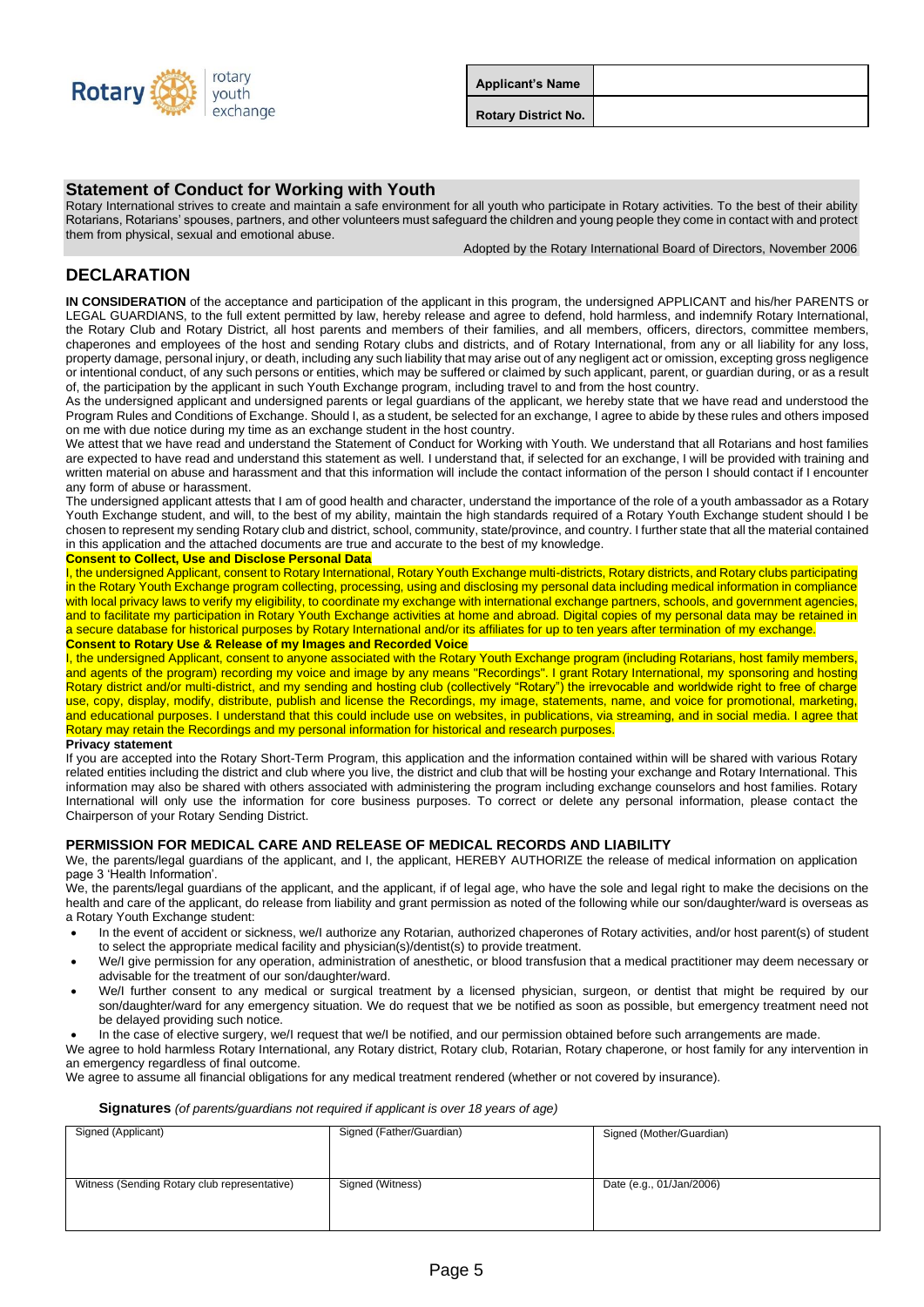

| <b>Applicant's Name</b>    |  |
|----------------------------|--|
| <b>Rotary District No.</b> |  |

#### **Statement of Conduct for Working with Youth**

Rotary International strives to create and maintain a safe environment for all youth who participate in Rotary activities. To the best of their ability Rotarians, Rotarians' spouses, partners, and other volunteers must safeguard the children and young people they come in contact with and protect them from physical, sexual and emotional abuse.

Adopted by the Rotary International Board of Directors, November 2006

### **DECLARATION**

**IN CONSIDERATION** of the acceptance and participation of the applicant in this program, the undersigned APPLICANT and his/her PARENTS or LEGAL GUARDIANS, to the full extent permitted by law, hereby release and agree to defend, hold harmless, and indemnify Rotary International, the Rotary Club and Rotary District, all host parents and members of their families, and all members, officers, directors, committee members, chaperones and employees of the host and sending Rotary clubs and districts, and of Rotary International, from any or all liability for any loss, property damage, personal injury, or death, including any such liability that may arise out of any negligent act or omission, excepting gross negligence or intentional conduct, of any such persons or entities, which may be suffered or claimed by such applicant, parent, or guardian during, or as a result of, the participation by the applicant in such Youth Exchange program, including travel to and from the host country.

As the undersigned applicant and undersigned parents or legal guardians of the applicant, we hereby state that we have read and understood the Program Rules and Conditions of Exchange. Should I, as a student, be selected for an exchange, I agree to abide by these rules and others imposed on me with due notice during my time as an exchange student in the host country.

We attest that we have read and understand the Statement of Conduct for Working with Youth. We understand that all Rotarians and host families are expected to have read and understand this statement as well. I understand that, if selected for an exchange, I will be provided with training and written material on abuse and harassment and that this information will include the contact information of the person I should contact if I encounter any form of abuse or harassment.

The undersigned applicant attests that I am of good health and character, understand the importance of the role of a youth ambassador as a Rotary Youth Exchange student, and will, to the best of my ability, maintain the high standards required of a Rotary Youth Exchange student should I be chosen to represent my sending Rotary club and district, school, community, state/province, and country. I further state that all the material contained in this application and the attached documents are true and accurate to the best of my knowledge.

#### **Consent to Collect, Use and Disclose Personal Data**

I, the undersigned Applicant, consent to Rotary International, Rotary Youth Exchange multi-districts, Rotary districts, and Rotary clubs participating in the Rotary Youth Exchange program collecting, processing, using and disclosing my personal data including medical information in compliance with local privacy laws to verify my eligibility, to coordinate my exchange with international exchange partners, schools, and government agencies, and to facilitate my participation in Rotary Youth Exchange activities at home and abroad. Digital copies of my personal data may be retained in a secure database for historical purposes by Rotary International and/or its affiliates for up to ten years after termination of my exchange. **Consent to Rotary Use & Release of my Images and Recorded Voice**

I, the undersigned Applicant, consent to anyone associated with the Rotary Youth Exchange program (including Rotarians, host family members, and agents of the program) recording my voice and image by any means "Recordings". I grant Rotary International, my sponsoring and hosting Rotary district and/or multi-district, and my sending and hosting club (collectively "Rotary") the irrevocable and worldwide right to free of charge use, copy, display, modify, distribute, publish and license the Recordings, my image, statements, name, and voice for promotional, marketing, and educational purposes. I understand that this could include use on websites, in publications, via streaming, and in social media. I agree that Rotary may retain the Recordings and my personal information for historical and research purposes.

#### **Privacy statement**

If you are accepted into the Rotary Short-Term Program, this application and the information contained within will be shared with various Rotary related entities including the district and club where you live, the district and club that will be hosting your exchange and Rotary International. This information may also be shared with others associated with administering the program including exchange counselors and host families. Rotary International will only use the information for core business purposes. To correct or delete any personal information, please contact the Chairperson of your Rotary Sending District.

#### **PERMISSION FOR MEDICAL CARE AND RELEASE OF MEDICAL RECORDS AND LIABILITY**

We, the parents/legal guardians of the applicant, and I, the applicant, HEREBY AUTHORIZE the release of medical information on application page 3 'Health Information'.

We, the parents/legal guardians of the applicant, and the applicant, if of legal age, who have the sole and legal right to make the decisions on the health and care of the applicant, do release from liability and grant permission as noted of the following while our son/daughter/ward is overseas as a Rotary Youth Exchange student:

- In the event of accident or sickness, we/I authorize any Rotarian, authorized chaperones of Rotary activities, and/or host parent(s) of student to select the appropriate medical facility and physician(s)/dentist(s) to provide treatment.
- We/I give permission for any operation, administration of anesthetic, or blood transfusion that a medical practitioner may deem necessary or advisable for the treatment of our son/daughter/ward.
- We/I further consent to any medical or surgical treatment by a licensed physician, surgeon, or dentist that might be required by our son/daughter/ward for any emergency situation. We do request that we be notified as soon as possible, but emergency treatment need not be delayed providing such notice.

• In the case of elective surgery, we/I request that we/I be notified, and our permission obtained before such arrangements are made.

We agree to hold harmless Rotary International, any Rotary district, Rotary club, Rotarian, Rotary chaperone, or host family for any intervention in an emergency regardless of final outcome.

We agree to assume all financial obligations for any medical treatment rendered (whether or not covered by insurance).

#### **Signatures** *(of parents/guardians not required if applicant is over 18 years of age)*

| Signed (Applicant)                           | Signed (Father/Guardian) | Signed (Mother/Guardian) |
|----------------------------------------------|--------------------------|--------------------------|
| Witness (Sending Rotary club representative) | Signed (Witness)         | Date (e.g., 01/Jan/2006) |
|                                              |                          |                          |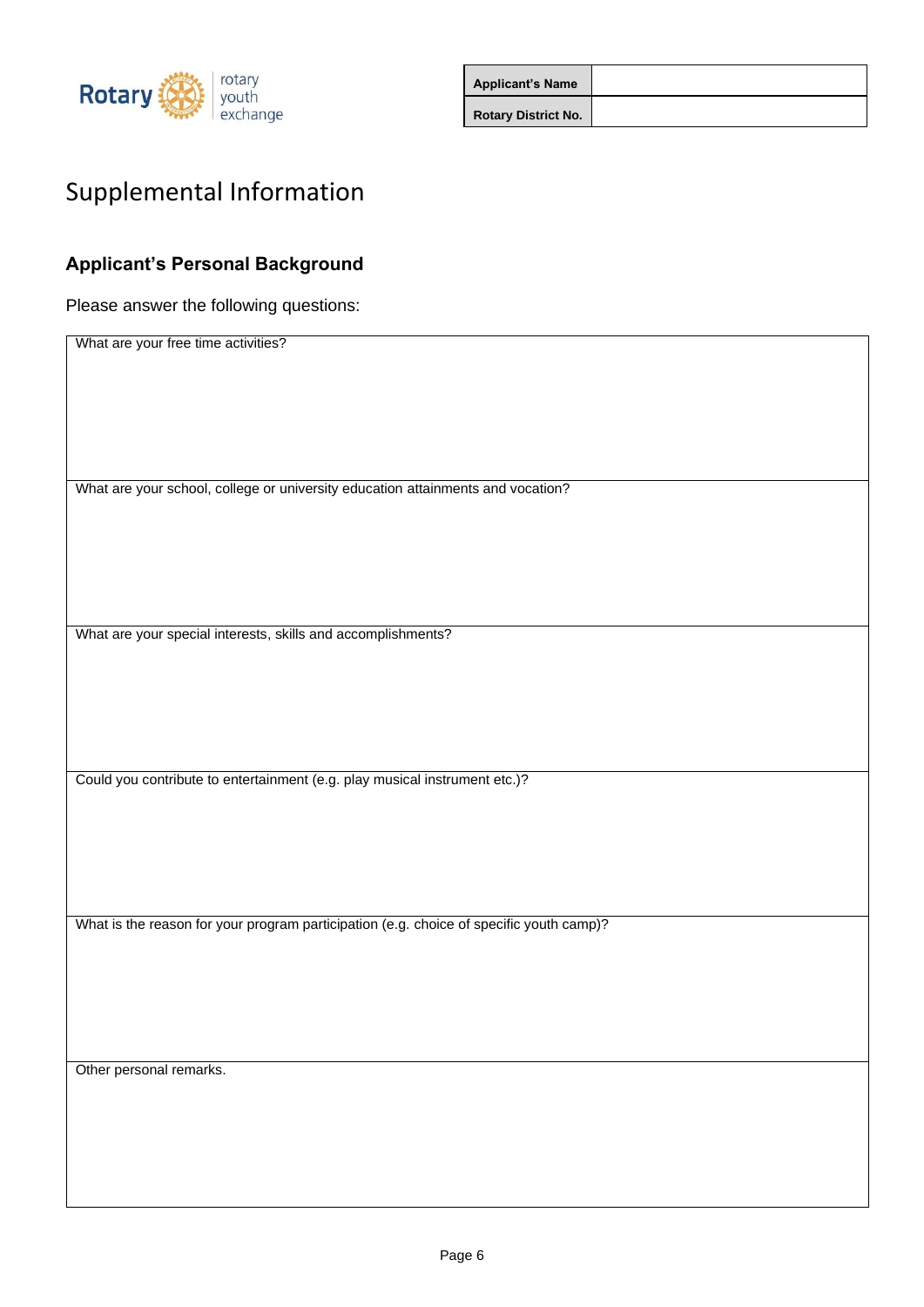

| <b>Applicant's Name</b>    |  |
|----------------------------|--|
| <b>Rotary District No.</b> |  |

# Supplemental Information

## **Applicant's Personal Background**

Please answer the following questions:

| What are your school, college or university education attainments and vocation?<br>What are your special interests, skills and accomplishments?<br>Could you contribute to entertainment (e.g. play musical instrument etc.)?<br>What is the reason for your program participation (e.g. choice of specific youth camp)?<br>Other personal remarks. |                                     |
|-----------------------------------------------------------------------------------------------------------------------------------------------------------------------------------------------------------------------------------------------------------------------------------------------------------------------------------------------------|-------------------------------------|
|                                                                                                                                                                                                                                                                                                                                                     | What are your free time activities? |
|                                                                                                                                                                                                                                                                                                                                                     |                                     |
|                                                                                                                                                                                                                                                                                                                                                     |                                     |
|                                                                                                                                                                                                                                                                                                                                                     |                                     |
|                                                                                                                                                                                                                                                                                                                                                     |                                     |
|                                                                                                                                                                                                                                                                                                                                                     |                                     |
|                                                                                                                                                                                                                                                                                                                                                     |                                     |
|                                                                                                                                                                                                                                                                                                                                                     |                                     |
|                                                                                                                                                                                                                                                                                                                                                     |                                     |
|                                                                                                                                                                                                                                                                                                                                                     |                                     |
|                                                                                                                                                                                                                                                                                                                                                     |                                     |
|                                                                                                                                                                                                                                                                                                                                                     |                                     |
|                                                                                                                                                                                                                                                                                                                                                     |                                     |
|                                                                                                                                                                                                                                                                                                                                                     |                                     |
|                                                                                                                                                                                                                                                                                                                                                     |                                     |
|                                                                                                                                                                                                                                                                                                                                                     |                                     |
|                                                                                                                                                                                                                                                                                                                                                     |                                     |
|                                                                                                                                                                                                                                                                                                                                                     |                                     |
|                                                                                                                                                                                                                                                                                                                                                     |                                     |
|                                                                                                                                                                                                                                                                                                                                                     |                                     |
|                                                                                                                                                                                                                                                                                                                                                     |                                     |
|                                                                                                                                                                                                                                                                                                                                                     |                                     |
|                                                                                                                                                                                                                                                                                                                                                     |                                     |
|                                                                                                                                                                                                                                                                                                                                                     |                                     |
|                                                                                                                                                                                                                                                                                                                                                     |                                     |
|                                                                                                                                                                                                                                                                                                                                                     |                                     |
|                                                                                                                                                                                                                                                                                                                                                     |                                     |
|                                                                                                                                                                                                                                                                                                                                                     |                                     |
|                                                                                                                                                                                                                                                                                                                                                     |                                     |
|                                                                                                                                                                                                                                                                                                                                                     |                                     |
|                                                                                                                                                                                                                                                                                                                                                     |                                     |
|                                                                                                                                                                                                                                                                                                                                                     |                                     |
|                                                                                                                                                                                                                                                                                                                                                     |                                     |
|                                                                                                                                                                                                                                                                                                                                                     |                                     |
|                                                                                                                                                                                                                                                                                                                                                     |                                     |
|                                                                                                                                                                                                                                                                                                                                                     |                                     |
|                                                                                                                                                                                                                                                                                                                                                     |                                     |
|                                                                                                                                                                                                                                                                                                                                                     |                                     |
|                                                                                                                                                                                                                                                                                                                                                     |                                     |
|                                                                                                                                                                                                                                                                                                                                                     |                                     |
|                                                                                                                                                                                                                                                                                                                                                     |                                     |
|                                                                                                                                                                                                                                                                                                                                                     |                                     |
|                                                                                                                                                                                                                                                                                                                                                     |                                     |
|                                                                                                                                                                                                                                                                                                                                                     |                                     |
|                                                                                                                                                                                                                                                                                                                                                     |                                     |
|                                                                                                                                                                                                                                                                                                                                                     |                                     |
|                                                                                                                                                                                                                                                                                                                                                     |                                     |
|                                                                                                                                                                                                                                                                                                                                                     |                                     |
|                                                                                                                                                                                                                                                                                                                                                     |                                     |
|                                                                                                                                                                                                                                                                                                                                                     |                                     |
|                                                                                                                                                                                                                                                                                                                                                     |                                     |
|                                                                                                                                                                                                                                                                                                                                                     |                                     |
|                                                                                                                                                                                                                                                                                                                                                     |                                     |
|                                                                                                                                                                                                                                                                                                                                                     |                                     |
|                                                                                                                                                                                                                                                                                                                                                     |                                     |
|                                                                                                                                                                                                                                                                                                                                                     |                                     |
|                                                                                                                                                                                                                                                                                                                                                     |                                     |
|                                                                                                                                                                                                                                                                                                                                                     |                                     |
|                                                                                                                                                                                                                                                                                                                                                     |                                     |
|                                                                                                                                                                                                                                                                                                                                                     |                                     |
|                                                                                                                                                                                                                                                                                                                                                     |                                     |